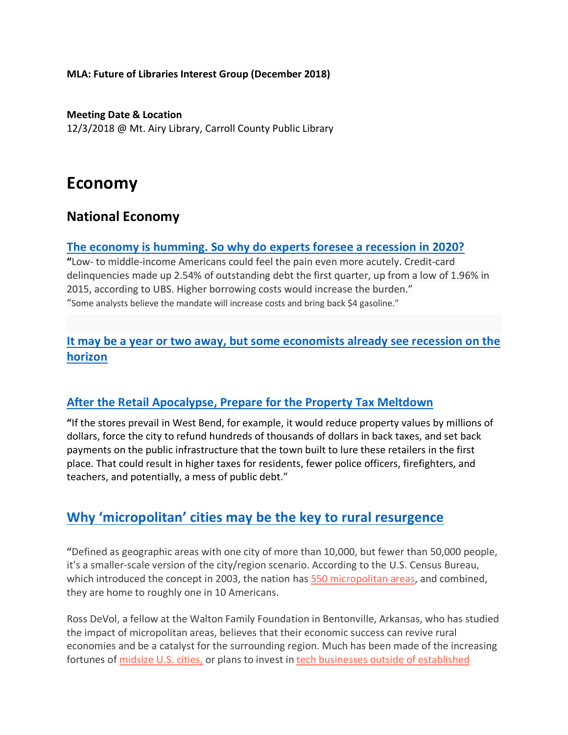**MLA: Future of Libraries Interest Group (December 2018)**

**Meeting Date & Location** 12/3/2018 @ Mt. Airy Library, Carroll County Public Library

# **Economy**

## **National Economy**

#### **The economy is humming. So why do experts foresee a recession in 2020?**

**"**Low- to middle-income Americans could feel the pain even more acutely. Credit-card delinquencies made up 2.54% of outstanding debt the first quarter, up from a low of 1.96% in 2015, according to UBS. Higher borrowing costs would increase the burden." "Some analysts believe the mandate will increase costs and bring back \$4 gasoline."

## **It may be a year or two away, but some economists already see recession on the horizon**

#### **After the Retail Apocalypse, Prepare for the Property Tax Meltdown**

**"**If the stores prevail in West Bend, for example, it would reduce property values by millions of dollars, force the city to refund hundreds of thousands of dollars in back taxes, and set back payments on the public infrastructure that the town built to lure these retailers in the first place. That could result in higher taxes for residents, fewer police officers, firefighters, and teachers, and potentially, a mess of public debt."

## **Why 'micropolitan' cities may be the key to rural resurgence**

**"**Defined as geographic areas with one city of more than 10,000, but fewer than 50,000 people, it's a smaller-scale version of the city/region scenario. According to the U.S. Census Bureau, which introduced the concept in 2003, the nation has 550 micropolitan areas, and combined, they are home to roughly one in 10 Americans.

Ross DeVol, a fellow at the Walton Family Foundation in Bentonville, Arkansas, who has studied the impact of micropolitan areas, believes that their economic success can revive rural economies and be a catalyst for the surrounding region. Much has been made of the increasing fortunes of midsize U.S. cities, or plans to invest in tech businesses outside of established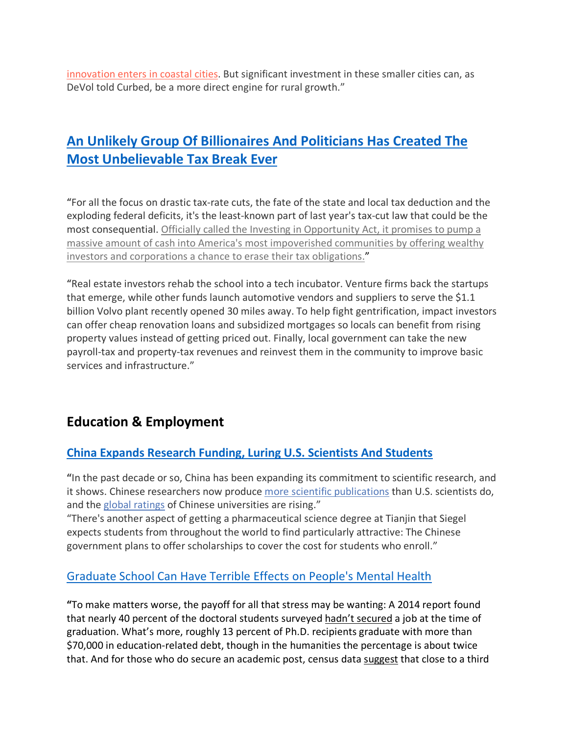innovation enters in coastal cities. But significant investment in these smaller cities can, as DeVol told Curbed, be a more direct engine for rural growth."

# **An Unlikely Group Of Billionaires And Politicians Has Created The Most Unbelievable Tax Break Ever**

"For all the focus on drastic tax-rate cuts, the fate of the state and local tax deduction and the exploding federal deficits, it's the least-known part of last year's tax-cut law that could be the most consequential. Officially called the Investing in Opportunity Act, it promises to pump a massive amount of cash into America's most impoverished communities by offering wealthy investors and corporations a chance to erase their tax obligations."

"Real estate investors rehab the school into a tech incubator. Venture firms back the startups that emerge, while other funds launch automotive vendors and suppliers to serve the \$1.1 billion Volvo plant recently opened 30 miles away. To help fight gentrification, impact investors can offer cheap renovation loans and subsidized mortgages so locals can benefit from rising property values instead of getting priced out. Finally, local government can take the new payroll-tax and property-tax revenues and reinvest them in the community to improve basic services and infrastructure."

## **Education & Employment**

### **China Expands Research Funding, Luring U.S. Scientists And Students**

**"**In the past decade or so, China has been expanding its commitment to scientific research, and it shows. Chinese researchers now produce more scientific publications than U.S. scientists do, and the global ratings of Chinese universities are rising."

"There's another aspect of getting a pharmaceutical science degree at Tianjin that Siegel expects students from throughout the world to find particularly attractive: The Chinese government plans to offer scholarships to cover the cost for students who enroll."

## Graduate School Can Have Terrible Effects on People's Mental Health

**"**To make matters worse, the payoff for all that stress may be wanting: A 2014 report found that nearly 40 percent of the doctoral students surveyed hadn't secured a job at the time of graduation. What's more, roughly 13 percent of Ph.D. recipients graduate with more than \$70,000 in education-related debt, though in the humanities the percentage is about twice that. And for those who do secure an academic post, census data suggest that close to a third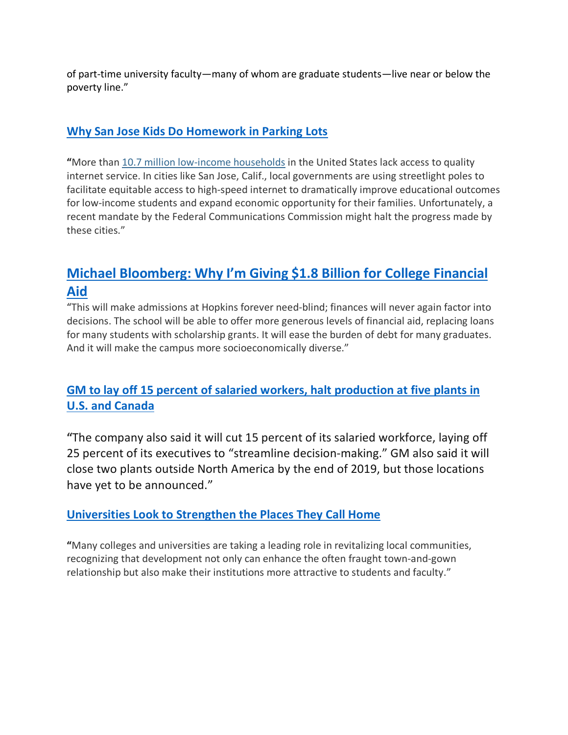of part-time university faculty—many of whom are graduate students—live near or below the poverty line."

## **Why San Jose Kids Do Homework in Parking Lots**

**"**More than 10.7 million low-income households in the United States lack access to quality internet service. In cities like San Jose, Calif., local governments are using streetlight poles to facilitate equitable access to high-speed internet to dramatically improve educational outcomes for low-income students and expand economic opportunity for their families. Unfortunately, a recent mandate by the Federal Communications Commission might halt the progress made by these cities."

# **Michael Bloomberg: Why I'm Giving \$1.8 Billion for College Financial Aid**

"This will make admissions at Hopkins forever need-blind; finances will never again factor into decisions. The school will be able to offer more generous levels of financial aid, replacing loans for many students with scholarship grants. It will ease the burden of debt for many graduates. And it will make the campus more socioeconomically diverse."

## **GM to lay off 15 percent of salaried workers, halt production at five plants in U.S. and Canada**

**"**The company also said it will cut 15 percent of its salaried workforce, laying off 25 percent of its executives to "streamline decision-making." GM also said it will close two plants outside North America by the end of 2019, but those locations have yet to be announced."

### **Universities Look to Strengthen the Places They Call Home**

**"**Many colleges and universities are taking a leading role in revitalizing local communities, recognizing that development not only can enhance the often fraught town-and-gown relationship but also make their institutions more attractive to students and faculty."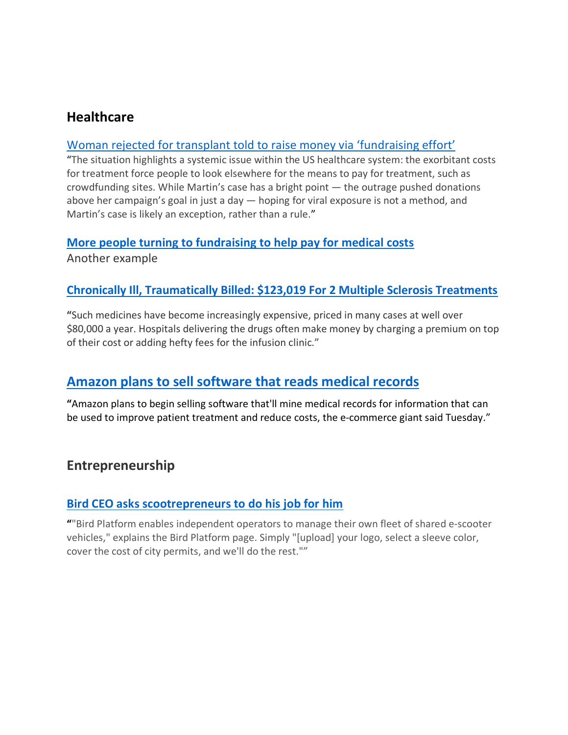## **Healthcare**

### Woman rejected for transplant told to raise money via 'fundraising effort'

"The situation highlights a systemic issue within the US healthcare system: the exorbitant costs for treatment force people to look elsewhere for the means to pay for treatment, such as crowdfunding sites. While Martin's case has a bright point — the outrage pushed donations above her campaign's goal in just a day — hoping for viral exposure is not a method, and Martin's case is likely an exception, rather than a rule."

#### **More people turning to fundraising to help pay for medical costs**

Another example

#### **Chronically Ill, Traumatically Billed: \$123,019 For 2 Multiple Sclerosis Treatments**

**"**Such medicines have become increasingly expensive, priced in many cases at well over \$80,000 a year. Hospitals delivering the drugs often make money by charging a premium on top of their cost or adding hefty fees for the infusion clinic."

## **Amazon plans to sell software that reads medical records**

**"**Amazon plans to begin selling software that'll mine medical records for information that can be used to improve patient treatment and reduce costs, the e-commerce giant said Tuesday."

## **Entrepreneurship**

### **Bird CEO asks scootrepreneurs to do his job for him**

**"**"Bird Platform enables independent operators to manage their own fleet of shared e-scooter vehicles," explains the Bird Platform page. Simply "[upload] your logo, select a sleeve color, cover the cost of city permits, and we'll do the rest.""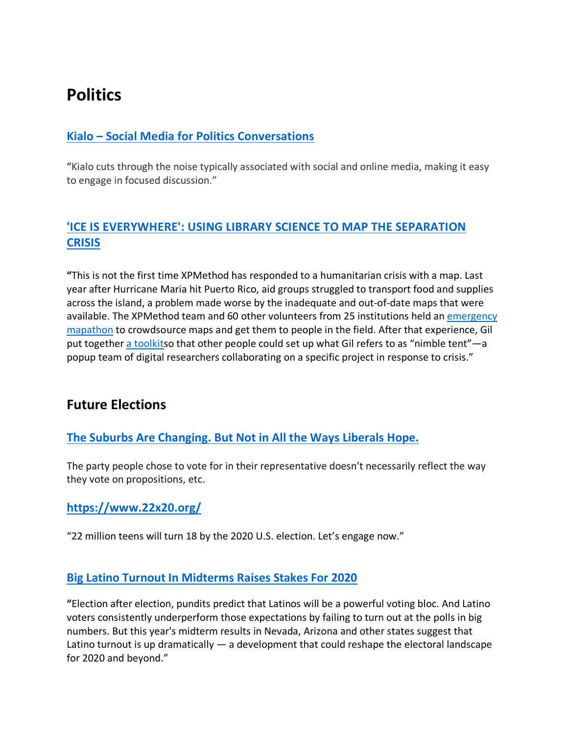# **Politics**

## **Kialo – Social Media for Politics Conversations**

"Kialo cuts through the noise typically associated with social and online media, making it easy to engage in focused discussion."

## **'ICE IS EVERYWHERE': USING LIBRARY SCIENCE TO MAP THE SEPARATION CRISIS**

**"**This is not the first time XPMethod has responded to a humanitarian crisis with a map. Last year after Hurricane Maria hit Puerto Rico, aid groups struggled to transport food and supplies across the island, a problem made worse by the inadequate and out-of-date maps that were available. The XPMethod team and 60 other volunteers from 25 institutions held an emergency mapathon to crowdsource maps and get them to people in the field. After that experience, Gil put together a toolkitso that other people could set up what Gil refers to as "nimble tent"—a popup team of digital researchers collaborating on a specific project in response to crisis."

## **Future Elections**

#### **The Suburbs Are Changing. But Not in All the Ways Liberals Hope.**

The party people chose to vote for in their representative doesn't necessarily reflect the way they vote on propositions, etc.

#### **https://www.22x20.org/**

"22 million teens will turn 18 by the 2020 U.S. election. Let's engage now."

#### **Big Latino Turnout In Midterms Raises Stakes For 2020**

**"**Election after election, pundits predict that Latinos will be a powerful voting bloc. And Latino voters consistently underperform those expectations by failing to turn out at the polls in big numbers. But this year's midterm results in Nevada, Arizona and other states suggest that Latino turnout is up dramatically — a development that could reshape the electoral landscape for 2020 and beyond."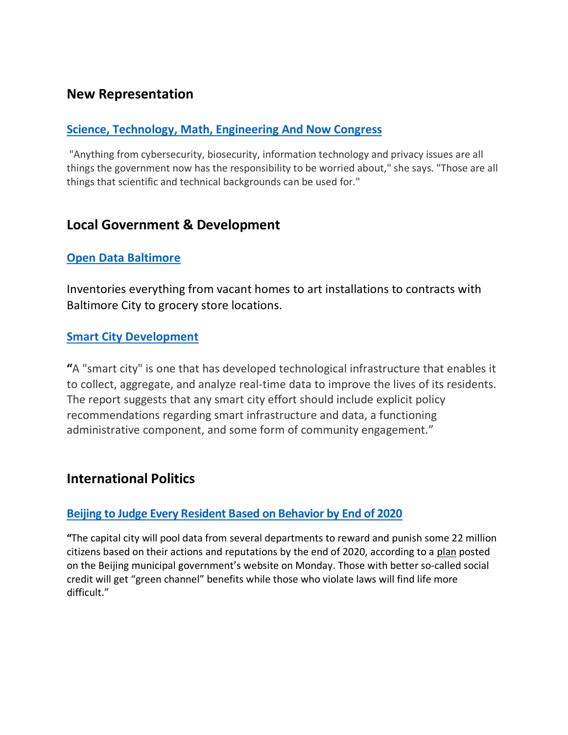## **New Representation**

#### **Science, Technology, Math, Engineering And Now Congress**

"Anything from cybersecurity, biosecurity, information technology and privacy issues are all things the government now has the responsibility to be worried about," she says. "Those are all things that scientific and technical backgrounds can be used for."

## **Local Government & Development**

#### **Open Data Baltimore**

Inventories everything from vacant homes to art installations to contracts with Baltimore City to grocery store locations.

#### **Smart City Development**

**"**A "smart city" is one that has developed technological infrastructure that enables it to collect, aggregate, and analyze real-time data to improve the lives of its residents. The report suggests that any smart city effort should include explicit policy recommendations regarding smart infrastructure and data, a functioning administrative component, and some form of community engagement."

## **International Politics**

#### **Beijing to Judge Every Resident Based on Behavior by End of 2020**

**"**The capital city will pool data from several departments to reward and punish some 22 million citizens based on their actions and reputations by the end of 2020, according to a plan posted on the Beijing municipal government's website on Monday. Those with better so-called social credit will get "green channel" benefits while those who violate laws will find life more difficult."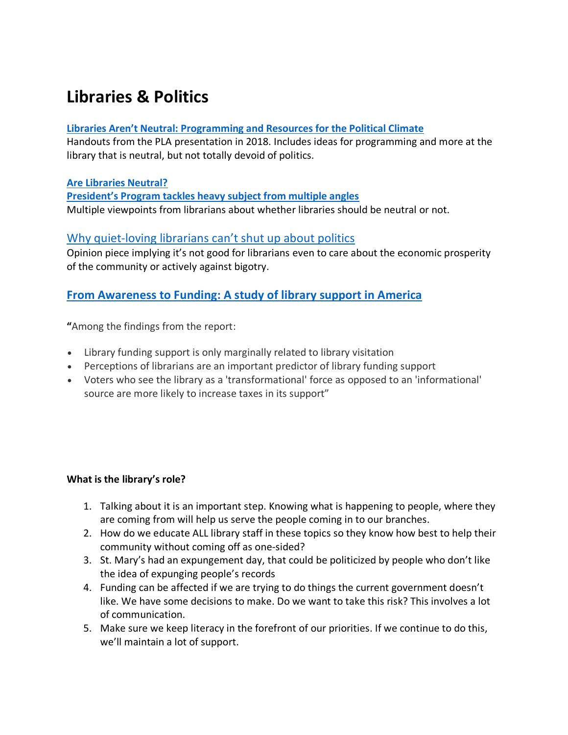# **Libraries & Politics**

#### **Libraries Aren't Neutral: Programming and Resources for the Political Climate**

Handouts from the PLA presentation in 2018. Includes ideas for programming and more at the library that is neutral, but not totally devoid of politics.

#### **Are Libraries Neutral?**

**President's Program tackles heavy subject from multiple angles** Multiple viewpoints from librarians about whether libraries should be neutral or not.

#### Why quiet-loving librarians can't shut up about politics

Opinion piece implying it's not good for librarians even to care about the economic prosperity of the community or actively against bigotry.

### **From Awareness to Funding: A study of library support in America**

**"**Among the findings from the report:

- Library funding support is only marginally related to library visitation
- Perceptions of librarians are an important predictor of library funding support
- Voters who see the library as a 'transformational' force as opposed to an 'informational' source are more likely to increase taxes in its support"

#### **What is the library's role?**

- 1. Talking about it is an important step. Knowing what is happening to people, where they are coming from will help us serve the people coming in to our branches.
- 2. How do we educate ALL library staff in these topics so they know how best to help their community without coming off as one-sided?
- 3. St. Mary's had an expungement day, that could be politicized by people who don't like the idea of expunging people's records
- 4. Funding can be affected if we are trying to do things the current government doesn't like. We have some decisions to make. Do we want to take this risk? This involves a lot of communication.
- 5. Make sure we keep literacy in the forefront of our priorities. If we continue to do this, we'll maintain a lot of support.